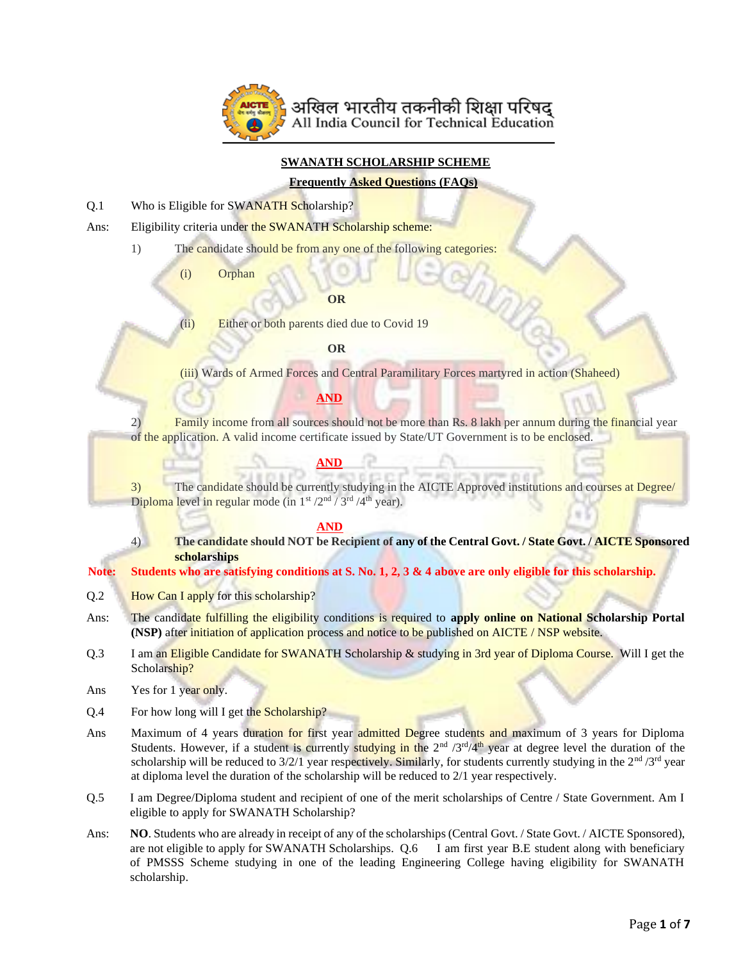

### **SWANATH SCHOLARSHIP SCHEME**

#### **Frequently Asked Questions (FAQs)**

Q.1 Who is Eligible for SWANATH Scholarship?

Ans: Eligibility criteria under the SWANATH Scholarship scheme:

1) The candidate should be from any one of the following categories:

(i) Orphan

#### **OR**

(ii) Either or both parents died due to Covid 19

#### **OR**

(iii) Wards of Armed Forces and Central Paramilitary Forces martyred in action (Shaheed)

## **AND**

2) Family income from all sources should not be more than Rs. 8 lakh per annum during the financial year of the application. A valid income certificate issued by State/UT Government is to be enclosed.

#### **AND**

3) The candidate should be currently studying in the AICTE Approved institutions and courses at Degree/ Diploma level in regular mode (in  $1^{st}$  /2<sup>nd</sup> / 3<sup>rd</sup> /4<sup>th</sup> year).

#### **AND**

4) **The candidate should NOT be Recipient of any of the Central Govt. / State Govt. / AICTE Sponsored scholarships**

**Note: Students who are satisfying conditions at S. No. 1, 2, 3 & 4 above are only eligible for this scholarship.** 

- Q.2 **How Can I apply** for this scholarship?
- Ans: The candidate fulfilling the eligibility conditions is required to **apply online on National Scholarship Portal (NSP)** after initiation of application process and notice to be published on AICTE / NSP website.
- Q.3 I am an Eligible Candidate for SWANATH Scholarship & studying in 3rd year of Diploma Course. Will I get the Scholarship?
- Ans Yes for 1 year only.
- Q.4 For how long will I get the Scholarship?
- Ans Maximum of 4 years duration for first year admitted Degree students and maximum of 3 years for Diploma Students. However, if a student is currently studying in the 2<sup>nd</sup> /3<sup>rd</sup>/4<sup>th</sup> year at degree level the duration of the scholarship will be reduced to  $3/2/1$  year respectively. Similarly, for students currently studying in the  $2<sup>nd</sup>/3<sup>rd</sup>$  year at diploma level the duration of the scholarship will be reduced to 2/1 year respectively.
- Q.5 I am Degree/Diploma student and recipient of one of the merit scholarships of Centre / State Government. Am I eligible to apply for SWANATH Scholarship?
- Ans: **NO**. Students who are already in receipt of any of the scholarships (Central Govt. / State Govt. / AICTE Sponsored), are not eligible to apply for SWANATH Scholarships. Q.6 I am first year B.E student along with beneficiary of PMSSS Scheme studying in one of the leading Engineering College having eligibility for SWANATH scholarship.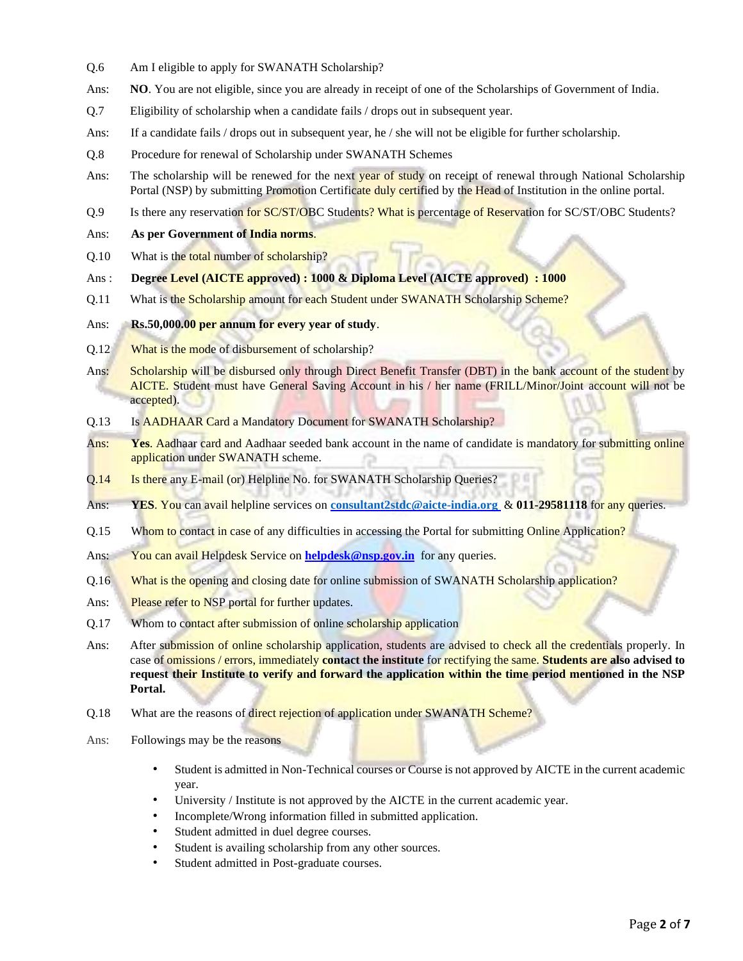- Q.6 Am I eligible to apply for SWANATH Scholarship?
- Ans: **NO**. You are not eligible, since you are already in receipt of one of the Scholarships of Government of India.
- Q.7 Eligibility of scholarship when a candidate fails / drops out in subsequent year.
- Ans: If a candidate fails / drops out in subsequent year, he / she will not be eligible for further scholarship.
- Q.8 Procedure for renewal of Scholarship under SWANATH Schemes
- Ans: The scholarship will be renewed for the next year of study on receipt of renewal through National Scholarship Portal (NSP) by submitting Promotion Certificate duly certified by the Head of Institution in the online portal.
- Q.9 Is there any reservation for SC/ST/OBC Students? What is percentage of Reservation for SC/ST/OBC Students?
- Ans: **As per Government of India norms**.
- Q.10 What is the total number of scholarship?
- Ans : **Degree Level (AICTE approved) : 1000 & Diploma Level (AICTE approved) : 1000**
- Q.11 What is the Scholarship amount for each Student under SWANATH Scholarship Scheme?
- Ans: **Rs.50,000.00 per annum for every year of study**.
- Q.12 What is the mode of disbursement of scholarship?
- Ans: Scholarship will be disbursed only through Direct Benefit Transfer (DBT) in the bank account of the student by AICTE. Student must have General Saving Account in his / her name (FRILL/Minor/Joint account will not be accepted).
- Q.13 Is AADHAAR Card a Mandatory Document for SWANATH Scholarship?
- Ans: **Yes**. Aadhaar card and Aadhaar seeded bank account in the name of candidate is mandatory for submitting online application under SWANATH scheme.
- Q.14 Is there any E-mail (or) Helpline No. for SWANATH Scholarship Queries?
- Ans: **YES**. You can avail helpline services on **[consultant2stdc@aicte-india.org](mailto:consultant2stdc@aicte-india.org)** & **011-29581118** for any queries.
- Q.15 Whom to contact in case of any difficulties in accessing the Portal for submitting Online Application?
- Ans: You can avail Helpdesk Service on **helpdesk@nsp.gov.in** for any queries.
- Q.16 What is the opening and closing date for online submission of SWANATH Scholarship application?
- Ans: Please refer to NSP portal for further updates.
- Q.17 Whom to contact after submission of online scholarship application
- Ans: After submission of online scholarship application, students are advised to check all the credentials properly. In case of omissions / errors, immediately **contact the institute** for rectifying the same. **Students are also advised to request their Institute to verify and forward the application within the time period mentioned in the NSP Portal.**
- Q.18 What are the reasons of direct rejection of application under SWANATH Scheme?
- Ans: Followings may be the reasons
	- Student is admitted in Non-Technical courses or Course is not approved by AICTE in the current academic year.
	- University / Institute is not approved by the AICTE in the current academic year.
	- Incomplete/Wrong information filled in submitted application.
	- Student admitted in duel degree courses.
	- Student is availing scholarship from any other sources.
	- Student admitted in Post-graduate courses.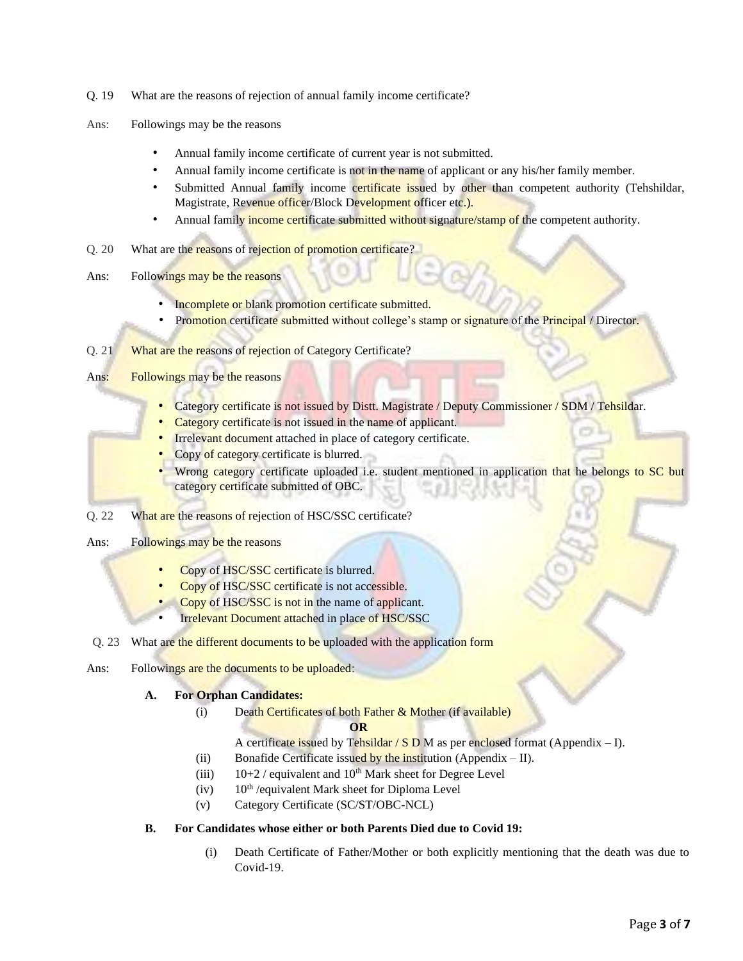- Q. 19 What are the reasons of rejection of annual family income certificate?
- Ans: Followings may be the reasons
	- Annual family income certificate of current year is not submitted.
	- Annual family income certificate is not in the name of applicant or any his/her family member.
	- Submitted Annual family income certificate issued by other than competent authority (Tehshildar, Magistrate, Revenue officer/Block Development officer etc.).
	- Annual family income certificate submitted without signature/stamp of the competent authority.
- Q. 20 What are the reasons of rejection of promotion certificate?
- Ans: Followings may be the reasons
	- Incomplete or blank promotion certificate submitted.
	- Promotion certificate submitted without college's stamp or signature of the Principal / Director.

### Q. 21 What are the reasons of rejection of Category Certificate?

- Ans: Followings may be the reasons
	- Category certificate is not issued by Distt. Magistrate / Deputy Commissioner / SDM / Tehsildar.
	- Category certificate is not issued in the name of applicant.
	- Irrelevant document attached in place of category certificate.
	- Copy of category certificate is blurred.
	- Wrong category certificate uploaded i.e. student mentioned in application that he belongs to SC but category certificate submitted of OBC.
- Q. 22 What are the reasons of rejection of HSC/SSC certificate?

Ans: Followings may be the reasons

- Copy of HSC/SSC certificate is blurred.
- Copy of HSC/SSC certificate is not accessible.
- Copy of HSC/SSC is not in the name of applicant.
- Irrelevant Document attached in place of HSC/SSC
- Q. 23 What are the different documents to be uploaded with the application form
- Ans: Followings are the documents to be uploaded:

## **A. For Orphan Candidates:**

(i) Death Certificates of both Father & Mother (if available)

#### **OR**

- A certificate issued by Tehsildar /  $S$  D M as per enclosed format (Appendix I).
- (ii) Bonafide Certificate issued by the institution (Appendix  $-$  II).
- (iii)  $10+2$  / equivalent and  $10^{th}$  Mark sheet for Degree Level
- $(iv)$  10<sup>th</sup> /equivalent Mark sheet for Diploma Level
- (v) Category Certificate (SC/ST/OBC-NCL)

## **B. For Candidates whose either or both Parents Died due to Covid 19:**

(i) Death Certificate of Father/Mother or both explicitly mentioning that the death was due to Covid-19.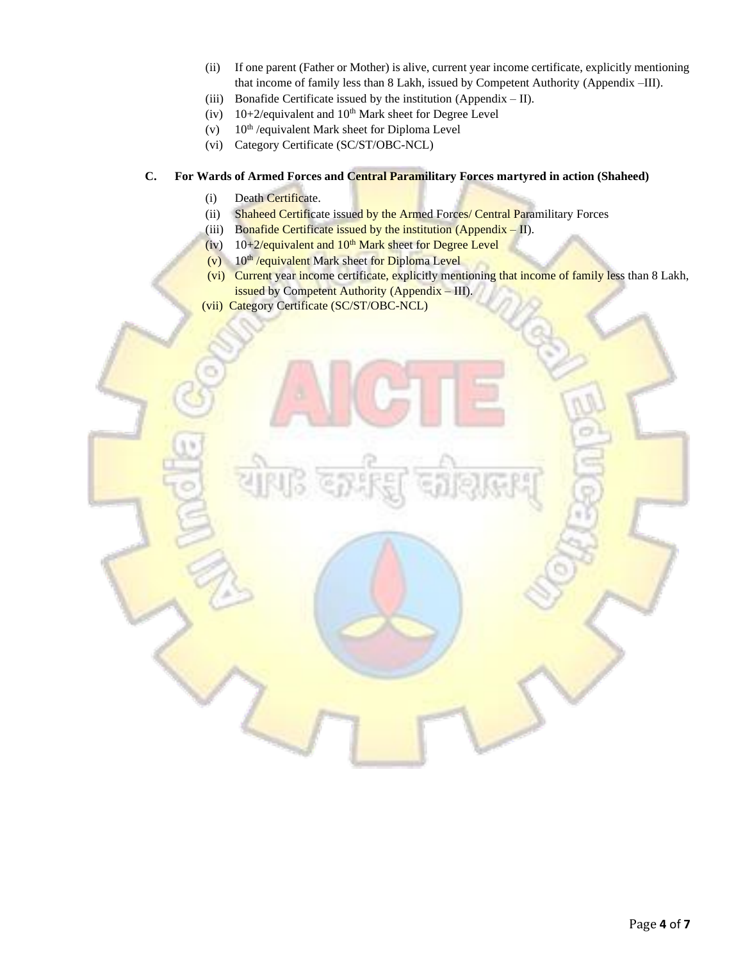- (ii) If one parent (Father or Mother) is alive, current year income certificate, explicitly mentioning that income of family less than 8 Lakh, issued by Competent Authority (Appendix –III).
- (iii) Bonafide Certificate issued by the institution (Appendix  $-$  II).
- (iv)  $10+2$ /equivalent and  $10<sup>th</sup>$  Mark sheet for Degree Level
- (v)  $10^{th}$  /equivalent Mark sheet for Diploma Level
- (vi) Category Certificate (SC/ST/OBC-NCL)

#### **C. For Wards of Armed Forces and Central Paramilitary Forces martyred in action (Shaheed)**

- (i) Death Certificate.
- (ii) Shaheed Certificate issued by the Armed Forces/ Central Paramilitary Forces
- (iii) Bonafide Certificate issued by the institution (Appendix  $-$  II).
- (iv)  $10+2/e$ quivalent and  $10<sup>th</sup>$  Mark sheet for Degree Level
- $(v)$  10<sup>th</sup> /equivalent Mark sheet for Diploma Level
- (vi) Current year income certificate, explicitly mentioning that income of family less than 8 Lakh, issued by Competent Authority (Appendix – III).
- (vii) Category Certificate (SC/ST/OBC-NCL)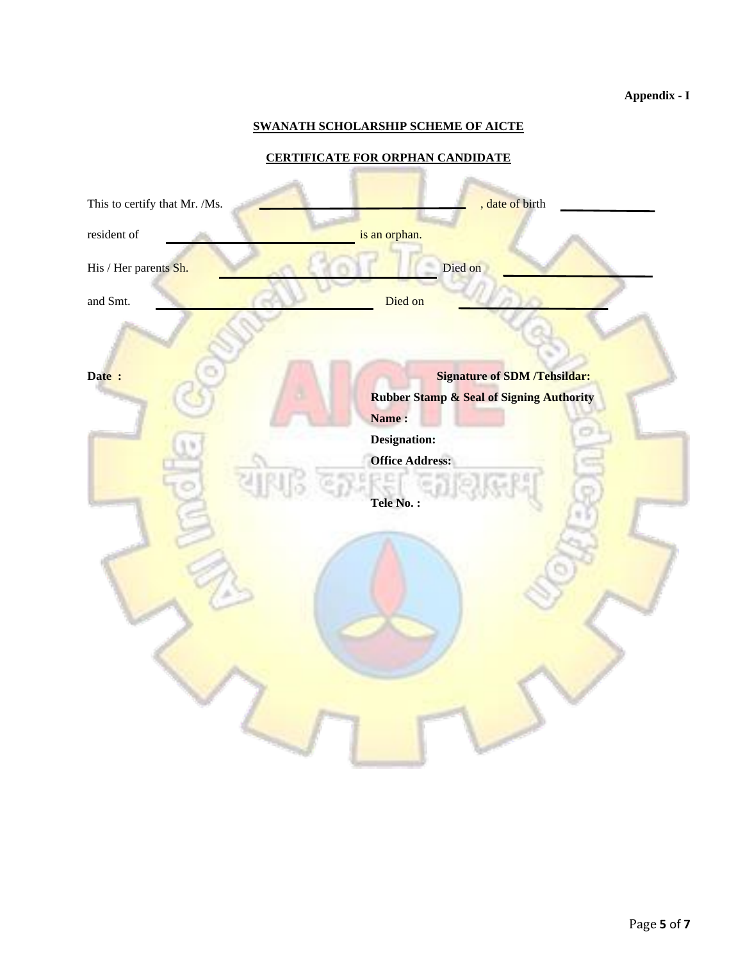# **Appendix - I**

## **SWANATH SCHOLARSHIP SCHEME OF AICTE**

## **CERTIFICATE FOR ORPHAN CANDIDATE**

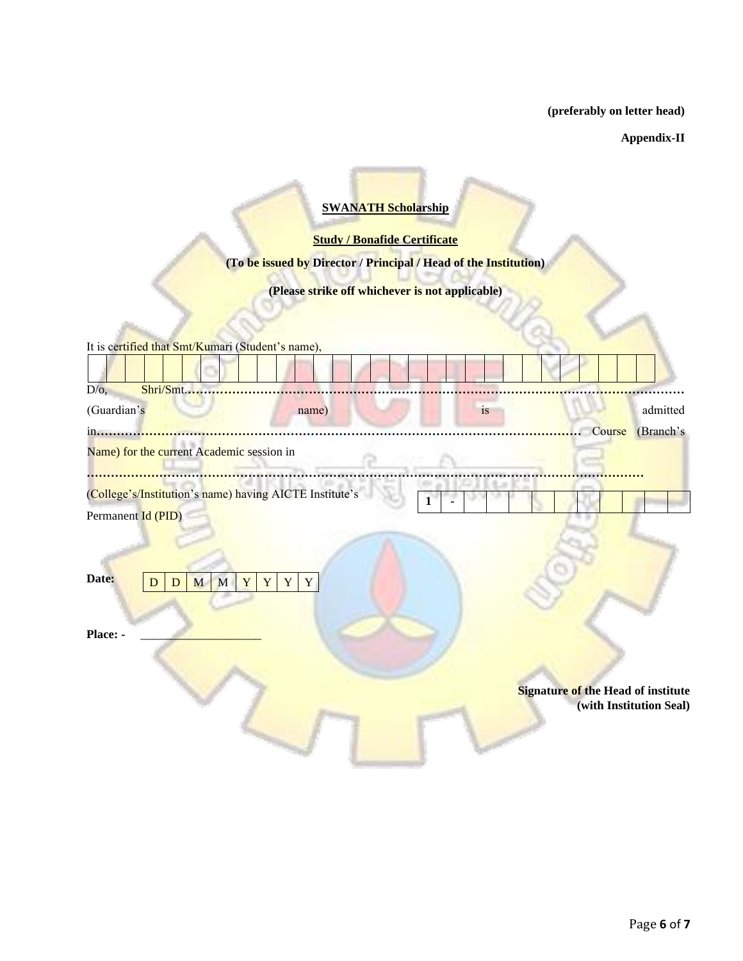**(preferably on letter head)**

**Appendix-II** 

# **SWANATH Scholarship**

**Study / Bonafide Certificate** 

**(To be issued by Director / Principal / Head of the Institution)** 

**(Please strike off whichever is not applicable)** 

| It is certified that Smt/Kumari (Student's name),         |                                    |                         |
|-----------------------------------------------------------|------------------------------------|-------------------------|
|                                                           |                                    |                         |
| Shri/Smt<br>$D/O$ ,                                       |                                    |                         |
| (Guardian's<br>name)                                      | is                                 | admitted                |
| in                                                        | Course                             | (Branch's               |
| Name) for the current Academic session in                 |                                    |                         |
| (College's/Institution's name) having AICTE Institute's   | 1                                  |                         |
| Permanent Id (PID)                                        |                                    |                         |
| Date:<br>Y<br>M<br>M<br>Y<br>Y<br>Y<br>D<br>D<br>Place: - | Signature of the Head of institute | (with Institution Seal) |